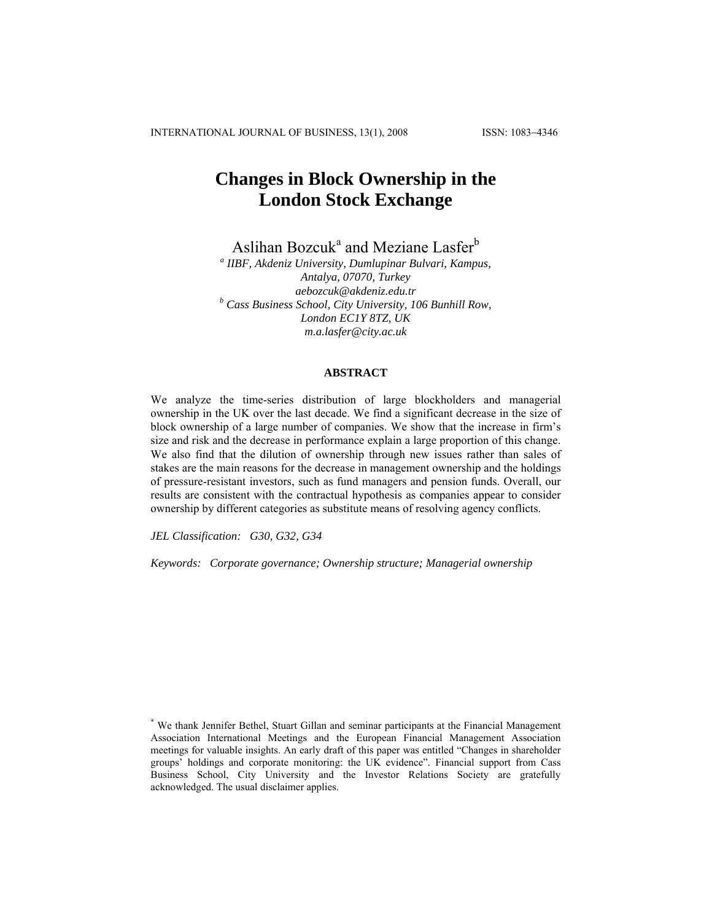# **Changes in Block Ownership in the London Stock Exchange**

Aslihan Bozcuk<sup>a</sup> and Meziane Lasfer<sup>b</sup>

*a IIBF, Akdeniz University, Dumlupinar Bulvari, Kampus, Antalya, 07070, Turkey aebozcuk@akdeniz.edu.tr b Cass Business School, City University, 106 Bunhill Row, London EC1Y 8TZ, UK m.a.lasfer@city.ac.uk* 

## **ABSTRACT**

We analyze the time-series distribution of large blockholders and managerial ownership in the UK over the last decade. We find a significant decrease in the size of block ownership of a large number of companies. We show that the increase in firm's size and risk and the decrease in performance explain a large proportion of this change. We also find that the dilution of ownership through new issues rather than sales of stakes are the main reasons for the decrease in management ownership and the holdings of pressure-resistant investors, such as fund managers and pension funds. Overall, our results are consistent with the contractual hypothesis as companies appear to consider ownership by different categories as substitute means of resolving agency conflicts.

*JEL Classification: G30, G32, G34* 

*Keywords: Corporate governance; Ownership structure; Managerial ownership* 

<sup>\*</sup> We thank Jennifer Bethel, Stuart Gillan and seminar participants at the Financial Management Association International Meetings and the European Financial Management Association meetings for valuable insights. An early draft of this paper was entitled "Changes in shareholder groups' holdings and corporate monitoring: the UK evidence". Financial support from Cass Business School, City University and the Investor Relations Society are gratefully acknowledged. The usual disclaimer applies.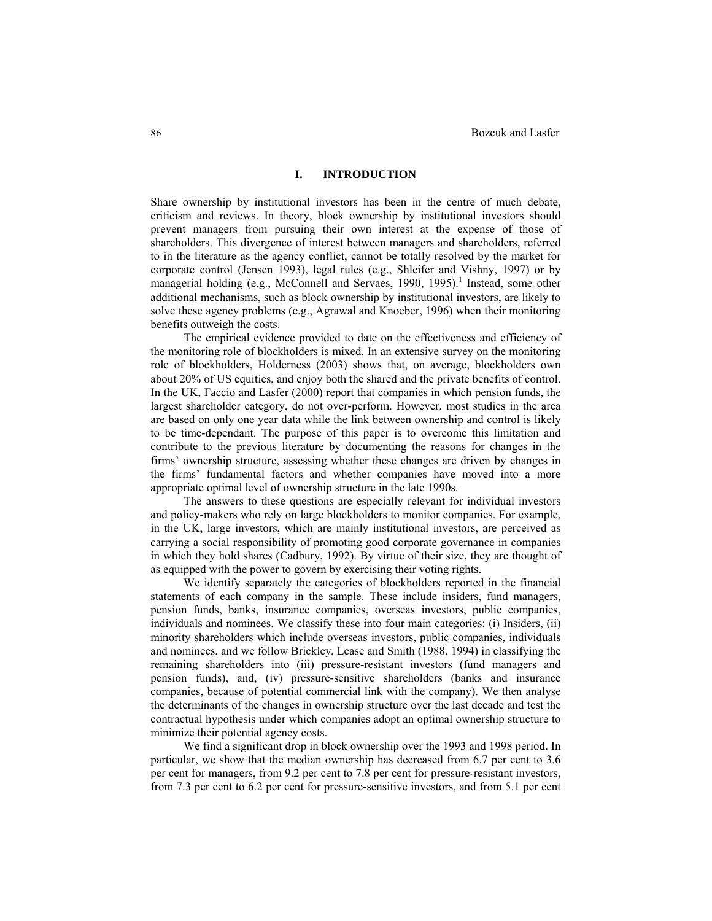### **I. INTRODUCTION**

Share ownership by institutional investors has been in the centre of much debate, criticism and reviews. In theory, block ownership by institutional investors should prevent managers from pursuing their own interest at the expense of those of shareholders. This divergence of interest between managers and shareholders, referred to in the literature as the agency conflict, cannot be totally resolved by the market for corporate control (Jensen 1993), legal rules (e.g., Shleifer and Vishny, 1997) or by managerial holding (e.g., McConnell and Servaes, 1990, 1995).<sup>1</sup> Instead, some other additional mechanisms, such as block ownership by institutional investors, are likely to solve these agency problems (e.g., Agrawal and Knoeber, 1996) when their monitoring benefits outweigh the costs.

The empirical evidence provided to date on the effectiveness and efficiency of the monitoring role of blockholders is mixed. In an extensive survey on the monitoring role of blockholders, Holderness (2003) shows that, on average, blockholders own about 20% of US equities, and enjoy both the shared and the private benefits of control. In the UK, Faccio and Lasfer (2000) report that companies in which pension funds, the largest shareholder category, do not over-perform. However, most studies in the area are based on only one year data while the link between ownership and control is likely to be time-dependant. The purpose of this paper is to overcome this limitation and contribute to the previous literature by documenting the reasons for changes in the firms' ownership structure, assessing whether these changes are driven by changes in the firms' fundamental factors and whether companies have moved into a more appropriate optimal level of ownership structure in the late 1990s.

The answers to these questions are especially relevant for individual investors and policy-makers who rely on large blockholders to monitor companies. For example, in the UK, large investors, which are mainly institutional investors, are perceived as carrying a social responsibility of promoting good corporate governance in companies in which they hold shares (Cadbury, 1992). By virtue of their size, they are thought of as equipped with the power to govern by exercising their voting rights.

We identify separately the categories of blockholders reported in the financial statements of each company in the sample. These include insiders, fund managers, pension funds, banks, insurance companies, overseas investors, public companies, individuals and nominees. We classify these into four main categories: (i) Insiders, (ii) minority shareholders which include overseas investors, public companies, individuals and nominees, and we follow Brickley, Lease and Smith (1988, 1994) in classifying the remaining shareholders into (iii) pressure-resistant investors (fund managers and pension funds), and, (iv) pressure-sensitive shareholders (banks and insurance companies, because of potential commercial link with the company). We then analyse the determinants of the changes in ownership structure over the last decade and test the contractual hypothesis under which companies adopt an optimal ownership structure to minimize their potential agency costs.

We find a significant drop in block ownership over the 1993 and 1998 period. In particular, we show that the median ownership has decreased from 6.7 per cent to 3.6 per cent for managers, from 9.2 per cent to 7.8 per cent for pressure-resistant investors, from 7.3 per cent to 6.2 per cent for pressure-sensitive investors, and from 5.1 per cent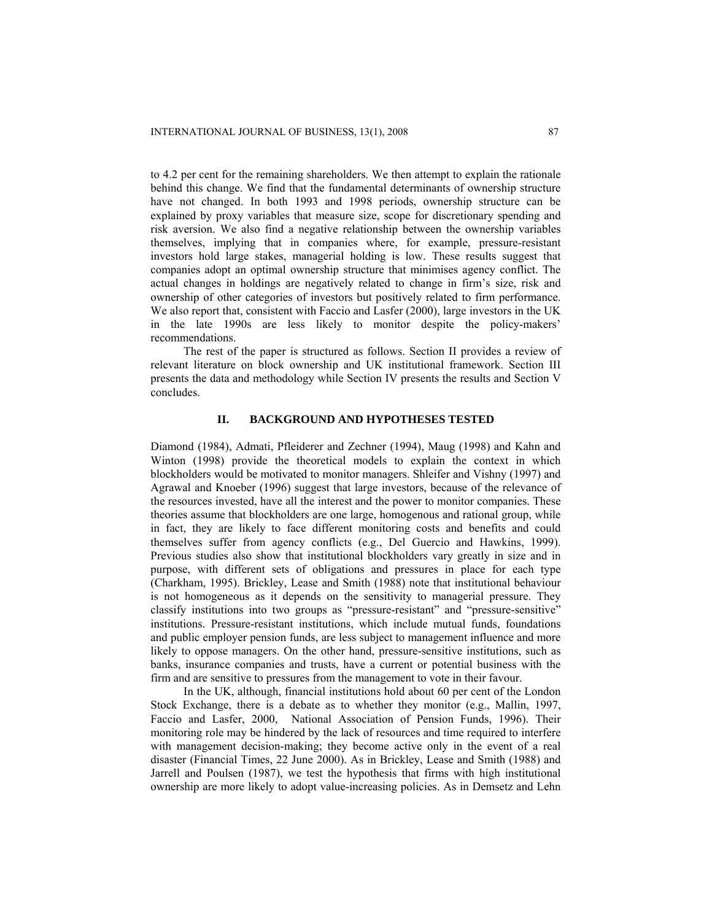to 4.2 per cent for the remaining shareholders. We then attempt to explain the rationale behind this change. We find that the fundamental determinants of ownership structure have not changed. In both 1993 and 1998 periods, ownership structure can be explained by proxy variables that measure size, scope for discretionary spending and risk aversion. We also find a negative relationship between the ownership variables themselves, implying that in companies where, for example, pressure-resistant investors hold large stakes, managerial holding is low. These results suggest that companies adopt an optimal ownership structure that minimises agency conflict. The actual changes in holdings are negatively related to change in firm's size, risk and ownership of other categories of investors but positively related to firm performance. We also report that, consistent with Faccio and Lasfer (2000), large investors in the UK in the late 1990s are less likely to monitor despite the policy-makers' recommendations.

The rest of the paper is structured as follows. Section II provides a review of relevant literature on block ownership and UK institutional framework. Section III presents the data and methodology while Section IV presents the results and Section V concludes.

### **II. BACKGROUND AND HYPOTHESES TESTED**

Diamond (1984), Admati, Pfleiderer and Zechner (1994), Maug (1998) and Kahn and Winton (1998) provide the theoretical models to explain the context in which blockholders would be motivated to monitor managers. Shleifer and Vishny (1997) and Agrawal and Knoeber (1996) suggest that large investors, because of the relevance of the resources invested, have all the interest and the power to monitor companies. These theories assume that blockholders are one large, homogenous and rational group, while in fact, they are likely to face different monitoring costs and benefits and could themselves suffer from agency conflicts (e.g., Del Guercio and Hawkins, 1999). Previous studies also show that institutional blockholders vary greatly in size and in purpose, with different sets of obligations and pressures in place for each type (Charkham, 1995). Brickley, Lease and Smith (1988) note that institutional behaviour is not homogeneous as it depends on the sensitivity to managerial pressure. They classify institutions into two groups as "pressure-resistant" and "pressure-sensitive" institutions. Pressure-resistant institutions, which include mutual funds, foundations and public employer pension funds, are less subject to management influence and more likely to oppose managers. On the other hand, pressure-sensitive institutions, such as banks, insurance companies and trusts, have a current or potential business with the firm and are sensitive to pressures from the management to vote in their favour.

In the UK, although, financial institutions hold about 60 per cent of the London Stock Exchange, there is a debate as to whether they monitor (e.g., Mallin, 1997, Faccio and Lasfer, 2000, National Association of Pension Funds, 1996). Their monitoring role may be hindered by the lack of resources and time required to interfere with management decision-making; they become active only in the event of a real disaster (Financial Times, 22 June 2000). As in Brickley, Lease and Smith (1988) and Jarrell and Poulsen (1987), we test the hypothesis that firms with high institutional ownership are more likely to adopt value-increasing policies. As in Demsetz and Lehn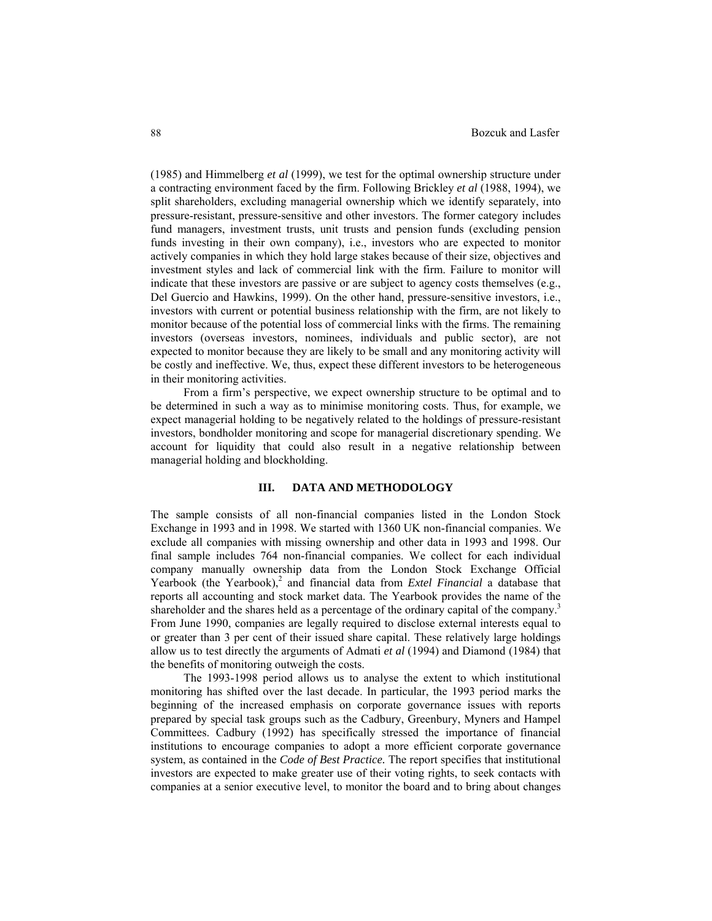(1985) and Himmelberg *et al* (1999), we test for the optimal ownership structure under a contracting environment faced by the firm. Following Brickley *et al* (1988, 1994), we split shareholders, excluding managerial ownership which we identify separately, into pressure-resistant, pressure-sensitive and other investors. The former category includes fund managers, investment trusts, unit trusts and pension funds (excluding pension funds investing in their own company), i.e., investors who are expected to monitor actively companies in which they hold large stakes because of their size, objectives and investment styles and lack of commercial link with the firm. Failure to monitor will indicate that these investors are passive or are subject to agency costs themselves (e.g., Del Guercio and Hawkins, 1999). On the other hand, pressure-sensitive investors, i.e., investors with current or potential business relationship with the firm, are not likely to monitor because of the potential loss of commercial links with the firms. The remaining investors (overseas investors, nominees, individuals and public sector), are not expected to monitor because they are likely to be small and any monitoring activity will be costly and ineffective. We, thus, expect these different investors to be heterogeneous in their monitoring activities.

From a firm's perspective, we expect ownership structure to be optimal and to be determined in such a way as to minimise monitoring costs. Thus, for example, we expect managerial holding to be negatively related to the holdings of pressure-resistant investors, bondholder monitoring and scope for managerial discretionary spending. We account for liquidity that could also result in a negative relationship between managerial holding and blockholding.

### **III. DATA AND METHODOLOGY**

The sample consists of all non-financial companies listed in the London Stock Exchange in 1993 and in 1998. We started with 1360 UK non-financial companies. We exclude all companies with missing ownership and other data in 1993 and 1998. Our final sample includes 764 non-financial companies. We collect for each individual company manually ownership data from the London Stock Exchange Official Yearbook (the Yearbook),<sup>2</sup> and financial data from *Extel Financial* a database that reports all accounting and stock market data. The Yearbook provides the name of the shareholder and the shares held as a percentage of the ordinary capital of the company.<sup>3</sup> From June 1990, companies are legally required to disclose external interests equal to or greater than 3 per cent of their issued share capital. These relatively large holdings allow us to test directly the arguments of Admati *et al* (1994) and Diamond (1984) that the benefits of monitoring outweigh the costs.

The 1993-1998 period allows us to analyse the extent to which institutional monitoring has shifted over the last decade. In particular, the 1993 period marks the beginning of the increased emphasis on corporate governance issues with reports prepared by special task groups such as the Cadbury, Greenbury, Myners and Hampel Committees. Cadbury (1992) has specifically stressed the importance of financial institutions to encourage companies to adopt a more efficient corporate governance system, as contained in the *Code of Best Practice.* The report specifies that institutional investors are expected to make greater use of their voting rights, to seek contacts with companies at a senior executive level, to monitor the board and to bring about changes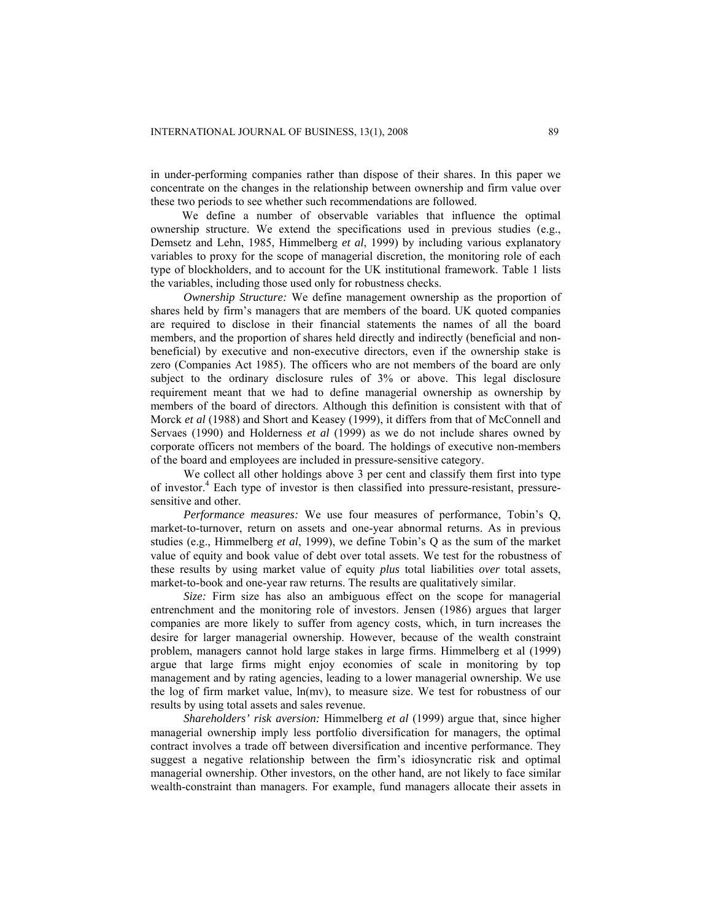in under-performing companies rather than dispose of their shares. In this paper we concentrate on the changes in the relationship between ownership and firm value over these two periods to see whether such recommendations are followed.

We define a number of observable variables that influence the optimal ownership structure. We extend the specifications used in previous studies (e.g., Demsetz and Lehn, 1985, Himmelberg *et al*, 1999) by including various explanatory variables to proxy for the scope of managerial discretion, the monitoring role of each type of blockholders, and to account for the UK institutional framework. Table 1 lists the variables, including those used only for robustness checks.

*Ownership Structure:* We define management ownership as the proportion of shares held by firm's managers that are members of the board. UK quoted companies are required to disclose in their financial statements the names of all the board members, and the proportion of shares held directly and indirectly (beneficial and nonbeneficial) by executive and non-executive directors, even if the ownership stake is zero (Companies Act 1985). The officers who are not members of the board are only subject to the ordinary disclosure rules of 3% or above. This legal disclosure requirement meant that we had to define managerial ownership as ownership by members of the board of directors. Although this definition is consistent with that of Morck *et al* (1988) and Short and Keasey (1999), it differs from that of McConnell and Servaes (1990) and Holderness *et al* (1999) as we do not include shares owned by corporate officers not members of the board. The holdings of executive non-members of the board and employees are included in pressure-sensitive category.

We collect all other holdings above 3 per cent and classify them first into type of investor.<sup>4</sup> Each type of investor is then classified into pressure-resistant, pressuresensitive and other.

*Performance measures:* We use four measures of performance, Tobin's Q, market-to-turnover, return on assets and one-year abnormal returns. As in previous studies (e.g., Himmelberg *et al*, 1999), we define Tobin's Q as the sum of the market value of equity and book value of debt over total assets. We test for the robustness of these results by using market value of equity *plus* total liabilities *over* total assets, market-to-book and one-year raw returns. The results are qualitatively similar.

*Size:* Firm size has also an ambiguous effect on the scope for managerial entrenchment and the monitoring role of investors. Jensen (1986) argues that larger companies are more likely to suffer from agency costs, which, in turn increases the desire for larger managerial ownership. However, because of the wealth constraint problem, managers cannot hold large stakes in large firms. Himmelberg et al (1999) argue that large firms might enjoy economies of scale in monitoring by top management and by rating agencies, leading to a lower managerial ownership. We use the log of firm market value, ln(mv), to measure size. We test for robustness of our results by using total assets and sales revenue.

*Shareholders' risk aversion:* Himmelberg *et al* (1999) argue that, since higher managerial ownership imply less portfolio diversification for managers, the optimal contract involves a trade off between diversification and incentive performance. They suggest a negative relationship between the firm's idiosyncratic risk and optimal managerial ownership. Other investors, on the other hand, are not likely to face similar wealth-constraint than managers. For example, fund managers allocate their assets in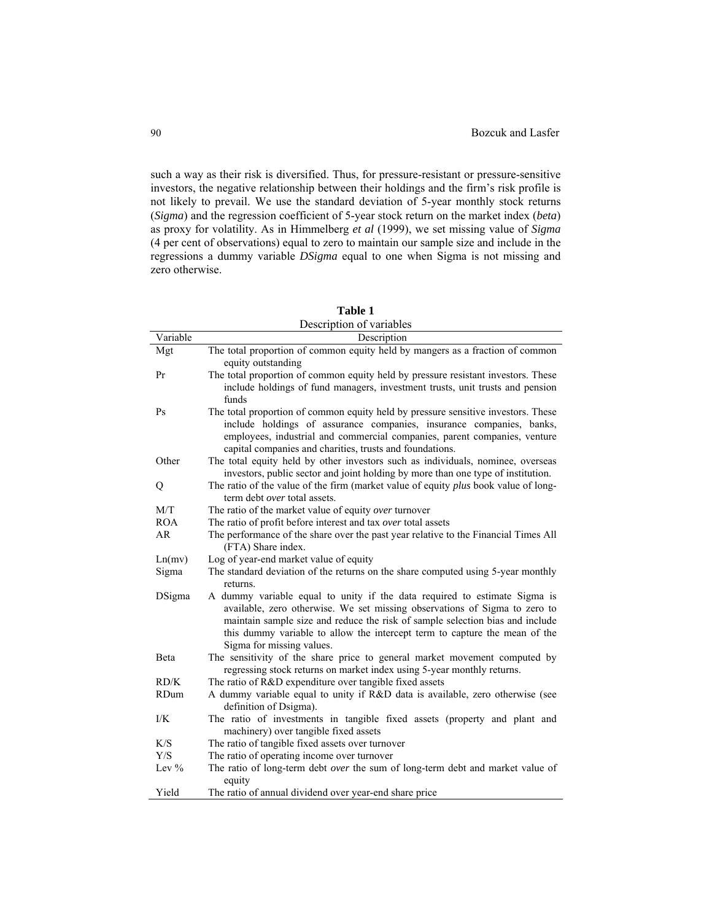such a way as their risk is diversified. Thus, for pressure-resistant or pressure-sensitive investors, the negative relationship between their holdings and the firm's risk profile is not likely to prevail. We use the standard deviation of 5-year monthly stock returns (*Sigma*) and the regression coefficient of 5-year stock return on the market index (*beta*) as proxy for volatility. As in Himmelberg *et al* (1999), we set missing value of *Sigma* (4 per cent of observations) equal to zero to maintain our sample size and include in the regressions a dummy variable *DSigma* equal to one when Sigma is not missing and zero otherwise.

|             | Description of variables                                                                                                                                                                                                                                                                                                                            |
|-------------|-----------------------------------------------------------------------------------------------------------------------------------------------------------------------------------------------------------------------------------------------------------------------------------------------------------------------------------------------------|
| Variable    | Description                                                                                                                                                                                                                                                                                                                                         |
| Mgt         | The total proportion of common equity held by mangers as a fraction of common<br>equity outstanding                                                                                                                                                                                                                                                 |
| Pr          | The total proportion of common equity held by pressure resistant investors. These<br>include holdings of fund managers, investment trusts, unit trusts and pension<br>funds                                                                                                                                                                         |
| Ps          | The total proportion of common equity held by pressure sensitive investors. These<br>include holdings of assurance companies, insurance companies, banks,<br>employees, industrial and commercial companies, parent companies, venture<br>capital companies and charities, trusts and foundations.                                                  |
| Other       | The total equity held by other investors such as individuals, nominee, overseas<br>investors, public sector and joint holding by more than one type of institution.                                                                                                                                                                                 |
| Q           | The ratio of the value of the firm (market value of equity plus book value of long-<br>term debt <i>over</i> total assets.                                                                                                                                                                                                                          |
| M/T         | The ratio of the market value of equity over turnover                                                                                                                                                                                                                                                                                               |
| <b>ROA</b>  | The ratio of profit before interest and tax over total assets                                                                                                                                                                                                                                                                                       |
| <b>AR</b>   | The performance of the share over the past year relative to the Financial Times All<br>(FTA) Share index.                                                                                                                                                                                                                                           |
| Ln(mv)      | Log of year-end market value of equity                                                                                                                                                                                                                                                                                                              |
| Sigma       | The standard deviation of the returns on the share computed using 5-year monthly<br>returns.                                                                                                                                                                                                                                                        |
| DSigma      | A dummy variable equal to unity if the data required to estimate Sigma is<br>available, zero otherwise. We set missing observations of Sigma to zero to<br>maintain sample size and reduce the risk of sample selection bias and include<br>this dummy variable to allow the intercept term to capture the mean of the<br>Sigma for missing values. |
| Beta        | The sensitivity of the share price to general market movement computed by<br>regressing stock returns on market index using 5-year monthly returns.                                                                                                                                                                                                 |
| RD/K        | The ratio of R&D expenditure over tangible fixed assets                                                                                                                                                                                                                                                                                             |
| <b>RDum</b> | A dummy variable equal to unity if R&D data is available, zero otherwise (see<br>definition of Dsigma).                                                                                                                                                                                                                                             |
| I/K         | The ratio of investments in tangible fixed assets (property and plant and<br>machinery) over tangible fixed assets                                                                                                                                                                                                                                  |
| K/S         | The ratio of tangible fixed assets over turnover                                                                                                                                                                                                                                                                                                    |
| Y/S         | The ratio of operating income over turnover                                                                                                                                                                                                                                                                                                         |
| Lev $%$     | The ratio of long-term debt over the sum of long-term debt and market value of<br>equity                                                                                                                                                                                                                                                            |
| Yield       | The ratio of annual dividend over year-end share price                                                                                                                                                                                                                                                                                              |

**Table 1**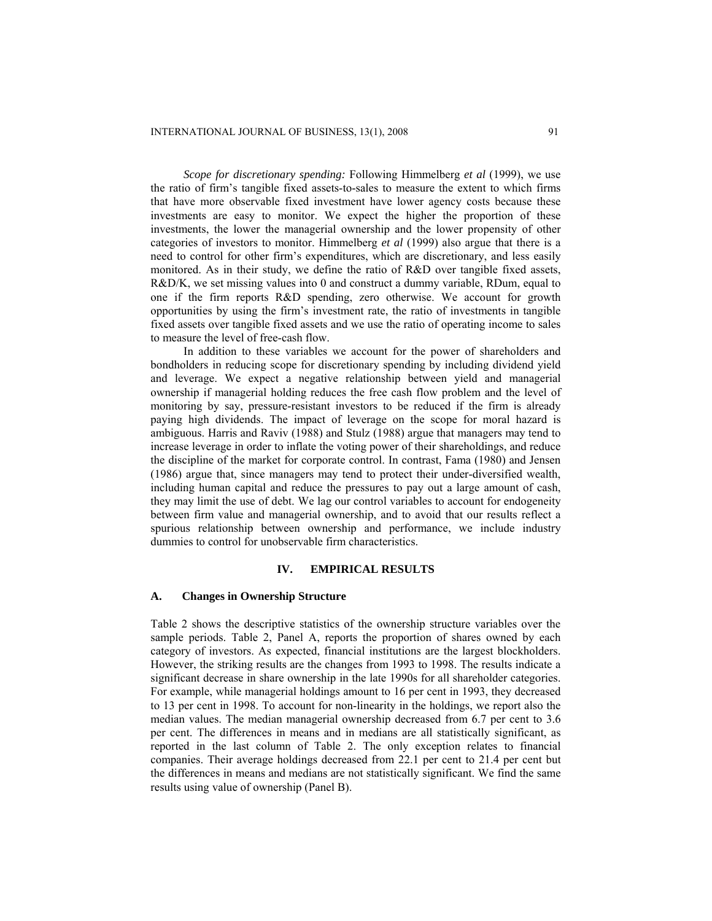*Scope for discretionary spending:* Following Himmelberg *et al* (1999), we use the ratio of firm's tangible fixed assets-to-sales to measure the extent to which firms that have more observable fixed investment have lower agency costs because these investments are easy to monitor. We expect the higher the proportion of these investments, the lower the managerial ownership and the lower propensity of other categories of investors to monitor. Himmelberg *et al* (1999) also argue that there is a need to control for other firm's expenditures, which are discretionary, and less easily monitored. As in their study, we define the ratio of R&D over tangible fixed assets, R&D/K, we set missing values into 0 and construct a dummy variable, RDum, equal to one if the firm reports R&D spending, zero otherwise. We account for growth opportunities by using the firm's investment rate, the ratio of investments in tangible fixed assets over tangible fixed assets and we use the ratio of operating income to sales to measure the level of free-cash flow.

In addition to these variables we account for the power of shareholders and bondholders in reducing scope for discretionary spending by including dividend yield and leverage. We expect a negative relationship between yield and managerial ownership if managerial holding reduces the free cash flow problem and the level of monitoring by say, pressure-resistant investors to be reduced if the firm is already paying high dividends. The impact of leverage on the scope for moral hazard is ambiguous. Harris and Raviv (1988) and Stulz (1988) argue that managers may tend to increase leverage in order to inflate the voting power of their shareholdings, and reduce the discipline of the market for corporate control. In contrast, Fama (1980) and Jensen (1986) argue that, since managers may tend to protect their under-diversified wealth, including human capital and reduce the pressures to pay out a large amount of cash, they may limit the use of debt. We lag our control variables to account for endogeneity between firm value and managerial ownership, and to avoid that our results reflect a spurious relationship between ownership and performance, we include industry dummies to control for unobservable firm characteristics.

### **IV. EMPIRICAL RESULTS**

### **A. Changes in Ownership Structure**

Table 2 shows the descriptive statistics of the ownership structure variables over the sample periods. Table 2, Panel A, reports the proportion of shares owned by each category of investors. As expected, financial institutions are the largest blockholders. However, the striking results are the changes from 1993 to 1998. The results indicate a significant decrease in share ownership in the late 1990s for all shareholder categories. For example, while managerial holdings amount to 16 per cent in 1993, they decreased to 13 per cent in 1998. To account for non-linearity in the holdings, we report also the median values. The median managerial ownership decreased from 6.7 per cent to 3.6 per cent. The differences in means and in medians are all statistically significant, as reported in the last column of Table 2. The only exception relates to financial companies. Their average holdings decreased from 22.1 per cent to 21.4 per cent but the differences in means and medians are not statistically significant. We find the same results using value of ownership (Panel B).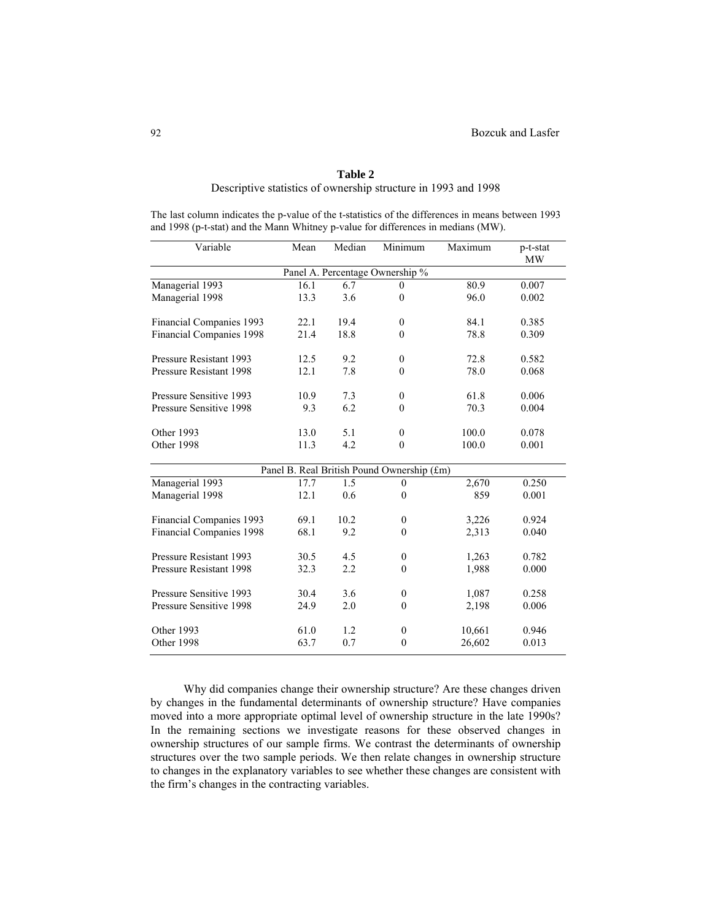# **Table 2**  Descriptive statistics of ownership structure in 1993 and 1998

The last column indicates the p-value of the t-statistics of the differences in means between 1993 and 1998 (p-t-stat) and the Mann Whitney p-value for differences in medians (MW).

| Variable                                   | Mean | Median | Minimum                         | Maximum | p-t-stat<br>MW |  |  |  |  |
|--------------------------------------------|------|--------|---------------------------------|---------|----------------|--|--|--|--|
|                                            |      |        | Panel A. Percentage Ownership % |         |                |  |  |  |  |
| Managerial 1993                            | 16.1 | 6.7    | $\theta$                        | 80.9    | 0.007          |  |  |  |  |
| Managerial 1998                            | 13.3 | 3.6    | $\mathbf{0}$                    | 96.0    | 0.002          |  |  |  |  |
| Financial Companies 1993                   | 22.1 | 19.4   | $\mathbf{0}$                    | 84.1    | 0.385          |  |  |  |  |
| Financial Companies 1998                   | 21.4 | 18.8   | $\mathbf{0}$                    | 78.8    | 0.309          |  |  |  |  |
| Pressure Resistant 1993                    | 12.5 | 9.2    | $\mathbf{0}$                    | 72.8    | 0.582          |  |  |  |  |
| Pressure Resistant 1998                    | 12.1 | 7.8    | $\theta$                        | 78.0    | 0.068          |  |  |  |  |
| Pressure Sensitive 1993                    | 10.9 | 7.3    | $\mathbf{0}$                    | 61.8    | 0.006          |  |  |  |  |
| Pressure Sensitive 1998                    | 9.3  | 6.2    | $\theta$                        | 70.3    | 0.004          |  |  |  |  |
| Other 1993                                 | 13.0 | 5.1    | $\mathbf{0}$                    | 100.0   | 0.078          |  |  |  |  |
| Other 1998                                 | 11.3 | 4.2    | $\theta$                        | 100.0   | 0.001          |  |  |  |  |
| Panel B. Real British Pound Ownership (£m) |      |        |                                 |         |                |  |  |  |  |
| Managerial 1993                            | 17.7 | 1.5    | $\mathbf{0}$                    | 2,670   | 0.250          |  |  |  |  |
| Managerial 1998                            | 12.1 | 0.6    | $\mathbf{0}$                    | 859     | 0.001          |  |  |  |  |
| Financial Companies 1993                   | 69.1 | 10.2   | $\mathbf{0}$                    | 3,226   | 0.924          |  |  |  |  |
| Financial Companies 1998                   | 68.1 | 9.2    | $\mathbf{0}$                    | 2,313   | 0.040          |  |  |  |  |
| Pressure Resistant 1993                    | 30.5 | 4.5    | $\boldsymbol{0}$                | 1,263   | 0.782          |  |  |  |  |
| Pressure Resistant 1998                    | 32.3 | 2.2    | $\boldsymbol{0}$                | 1,988   | 0.000          |  |  |  |  |
| Pressure Sensitive 1993                    | 30.4 | 3.6    | $\boldsymbol{0}$                | 1,087   | 0.258          |  |  |  |  |
| Pressure Sensitive 1998                    | 24.9 | 2.0    | $\mathbf{0}$                    | 2,198   | 0.006          |  |  |  |  |
| Other 1993                                 | 61.0 | 1.2    | $\mathbf{0}$                    | 10,661  | 0.946          |  |  |  |  |
| Other 1998                                 | 63.7 | 0.7    | $\boldsymbol{0}$                | 26,602  | 0.013          |  |  |  |  |

Why did companies change their ownership structure? Are these changes driven by changes in the fundamental determinants of ownership structure? Have companies moved into a more appropriate optimal level of ownership structure in the late 1990s? In the remaining sections we investigate reasons for these observed changes in ownership structures of our sample firms. We contrast the determinants of ownership structures over the two sample periods. We then relate changes in ownership structure to changes in the explanatory variables to see whether these changes are consistent with the firm's changes in the contracting variables.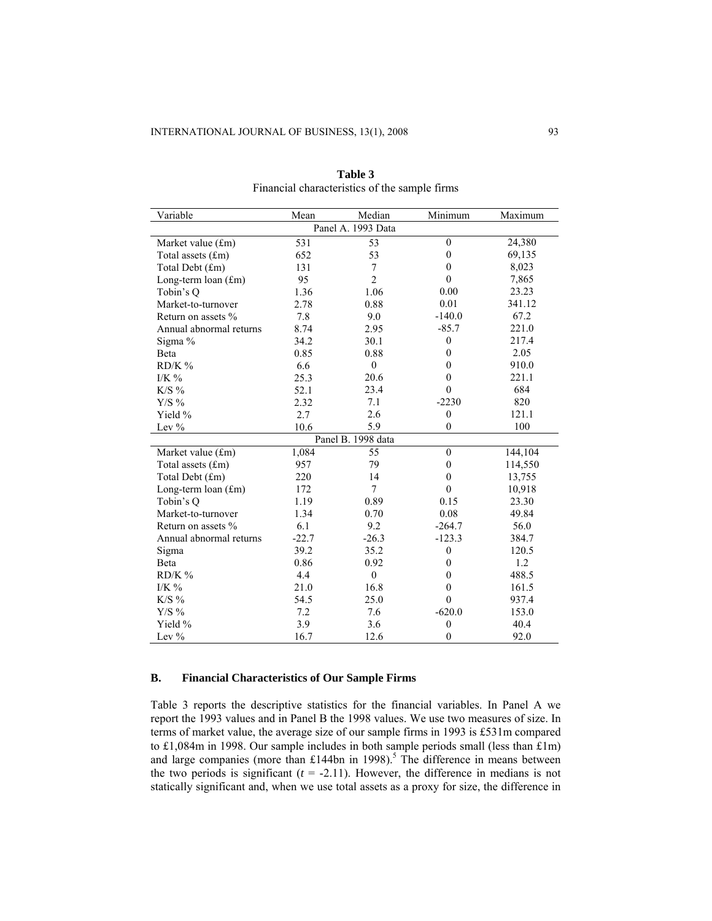| Variable                                        | Mean                                                                                                 | Median             | Minimum          | Maximum |  |  |  |
|-------------------------------------------------|------------------------------------------------------------------------------------------------------|--------------------|------------------|---------|--|--|--|
|                                                 |                                                                                                      | Panel A. 1993 Data |                  |         |  |  |  |
| Market value (£m)                               | 531                                                                                                  | 53                 | $\mathbf{0}$     | 24,380  |  |  |  |
| Total assets (£m)                               | 652                                                                                                  | 53                 | $\mathbf{0}$     | 69,135  |  |  |  |
| Total Debt (£m)                                 | 131                                                                                                  | 7                  | $\boldsymbol{0}$ | 8,023   |  |  |  |
| Long-term $\lceil \text{tan}(\text{fm}) \rceil$ | 95                                                                                                   | $\overline{2}$     | $\mathbf{0}$     | 7,865   |  |  |  |
| Tobin's Q                                       | 1.36                                                                                                 | 1.06               | 0.00             | 23.23   |  |  |  |
| Market-to-turnover                              | 2.78                                                                                                 | 0.88               | 0.01             | 341.12  |  |  |  |
| Return on assets %                              | 7.8                                                                                                  | 9.0                | $-140.0$         | 67.2    |  |  |  |
| Annual abnormal returns                         | 8.74                                                                                                 | 2.95               | $-85.7$          | 221.0   |  |  |  |
| Sigma %                                         | 34.2                                                                                                 | 30.1               | $\boldsymbol{0}$ | 217.4   |  |  |  |
| Beta                                            | 0.85                                                                                                 | 0.88               | $\mathbf{0}$     | 2.05    |  |  |  |
| $RD/K$ %                                        | 6.6                                                                                                  | $\mathbf{0}$       | $\boldsymbol{0}$ | 910.0   |  |  |  |
| I/K $\%$                                        | 25.3                                                                                                 | 20.6               | $\theta$         | 221.1   |  |  |  |
| $K/S\%$                                         | 52.1                                                                                                 | 23.4               | $\mathbf{0}$     | 684     |  |  |  |
| ${\rm Y/S}$ %                                   | 2.32                                                                                                 | 7.1                | $-2230$          | 820     |  |  |  |
| Yield %                                         | 2.7                                                                                                  | 2.6                | $\boldsymbol{0}$ | 121.1   |  |  |  |
| Lev $%$                                         | 10.6                                                                                                 | 5.9                | $\overline{0}$   | 100     |  |  |  |
|                                                 | Panel B. 1998 data<br>55<br>1,084<br>$\mathbf{0}$<br>144,104<br>957<br>79<br>114,550<br>$\mathbf{0}$ |                    |                  |         |  |  |  |
| Market value (£m)                               |                                                                                                      |                    |                  |         |  |  |  |
| Total assets (£m)                               |                                                                                                      |                    |                  |         |  |  |  |
| Total Debt (£m)                                 | 220                                                                                                  | 14                 | $\mathbf{0}$     | 13,755  |  |  |  |
| Long-term loan (£m)                             | 172                                                                                                  | $\tau$             | $\mathbf{0}$     | 10,918  |  |  |  |
| Tobin's Q                                       | 1.19                                                                                                 | 0.89               | 0.15             | 23.30   |  |  |  |
| Market-to-turnover                              | 1.34                                                                                                 | 0.70               | 0.08             | 49.84   |  |  |  |
| Return on assets %                              | 6.1                                                                                                  | 9.2                | $-264.7$         | 56.0    |  |  |  |
| Annual abnormal returns                         | $-22.7$                                                                                              | $-26.3$            | $-123.3$         | 384.7   |  |  |  |
| Sigma                                           | 39.2                                                                                                 | 35.2               | $\boldsymbol{0}$ | 120.5   |  |  |  |
| Beta                                            | 0.86                                                                                                 | 0.92               | $\boldsymbol{0}$ | 1.2     |  |  |  |
| $RD/K$ %                                        | 4.4                                                                                                  | $\mathbf{0}$       | $\theta$         | 488.5   |  |  |  |
| I/K $\%$                                        | 21.0                                                                                                 | 16.8               | $\boldsymbol{0}$ | 161.5   |  |  |  |
| $K/S\%$                                         | 54.5                                                                                                 | 25.0               | $\mathbf{0}$     | 937.4   |  |  |  |
| $Y/S\%$                                         | 7.2                                                                                                  | 7.6                | $-620.0$         | 153.0   |  |  |  |
| Yield %                                         | 3.9                                                                                                  | 3.6                | $\boldsymbol{0}$ | 40.4    |  |  |  |
| Lev $%$                                         | 16.7                                                                                                 | 12.6               | $\mathbf{0}$     | 92.0    |  |  |  |

**Table 3** Financial characteristics of the sample firms

## **B. Financial Characteristics of Our Sample Firms**

Table 3 reports the descriptive statistics for the financial variables. In Panel A we report the 1993 values and in Panel B the 1998 values. We use two measures of size. In terms of market value, the average size of our sample firms in 1993 is £531m compared to £1,084m in 1998. Our sample includes in both sample periods small (less than £1m) and large companies (more than £144bn in 1998).<sup>5</sup> The difference in means between the two periods is significant  $(t = -2.11)$ . However, the difference in medians is not statically significant and, when we use total assets as a proxy for size, the difference in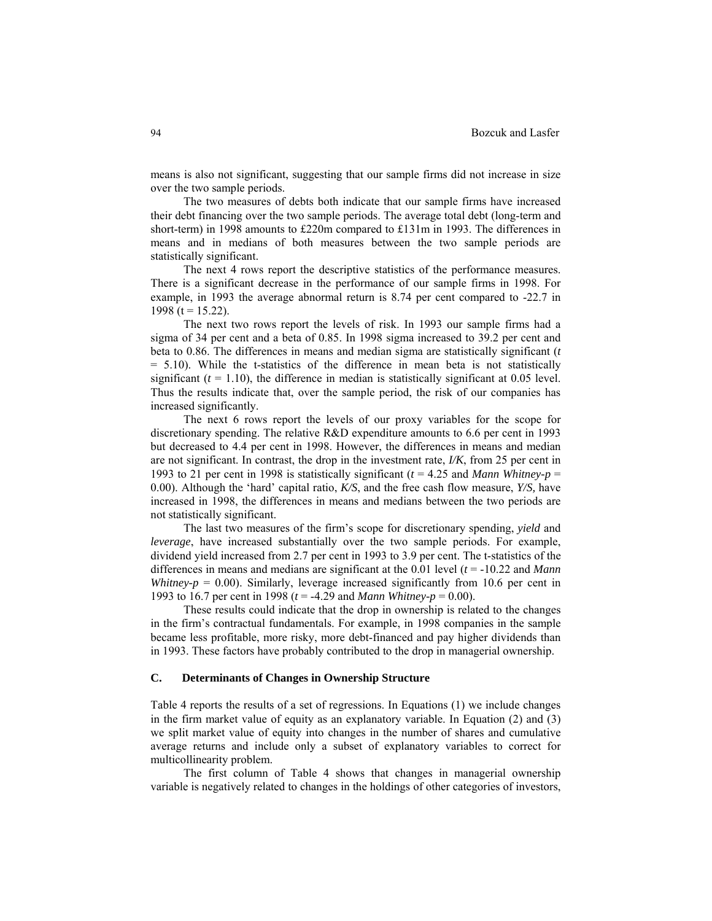means is also not significant, suggesting that our sample firms did not increase in size over the two sample periods.

The two measures of debts both indicate that our sample firms have increased their debt financing over the two sample periods. The average total debt (long-term and short-term) in 1998 amounts to £220m compared to £131m in 1993. The differences in means and in medians of both measures between the two sample periods are statistically significant.

The next 4 rows report the descriptive statistics of the performance measures. There is a significant decrease in the performance of our sample firms in 1998. For example, in 1993 the average abnormal return is 8.74 per cent compared to -22.7 in 1998 (t =  $15.22$ ).

The next two rows report the levels of risk. In 1993 our sample firms had a sigma of 34 per cent and a beta of 0.85. In 1998 sigma increased to 39.2 per cent and beta to 0.86. The differences in means and median sigma are statistically significant (*t*  $= 5.10$ ). While the t-statistics of the difference in mean beta is not statistically significant  $(t = 1.10)$ , the difference in median is statistically significant at 0.05 level. Thus the results indicate that, over the sample period, the risk of our companies has increased significantly.

The next 6 rows report the levels of our proxy variables for the scope for discretionary spending. The relative R&D expenditure amounts to 6.6 per cent in 1993 but decreased to 4.4 per cent in 1998. However, the differences in means and median are not significant. In contrast, the drop in the investment rate, *I/K*, from 25 per cent in 1993 to 21 per cent in 1998 is statistically significant ( $t = 4.25$  and *Mann Whitney-p* = 0.00). Although the 'hard' capital ratio, *K/S*, and the free cash flow measure, *Y/S,* have increased in 1998, the differences in means and medians between the two periods are not statistically significant.

The last two measures of the firm's scope for discretionary spending, *yield* and *leverage*, have increased substantially over the two sample periods. For example, dividend yield increased from 2.7 per cent in 1993 to 3.9 per cent. The t-statistics of the differences in means and medians are significant at the 0.01 level (*t* = -10.22 and *Mann Whitney-p* =  $0.00$ ). Similarly, leverage increased significantly from 10.6 per cent in 1993 to 16.7 per cent in 1998 (*t* = -4.29 and *Mann Whitney-p* = 0.00).

These results could indicate that the drop in ownership is related to the changes in the firm's contractual fundamentals. For example, in 1998 companies in the sample became less profitable, more risky, more debt-financed and pay higher dividends than in 1993. These factors have probably contributed to the drop in managerial ownership.

### **C. Determinants of Changes in Ownership Structure**

Table 4 reports the results of a set of regressions. In Equations (1) we include changes in the firm market value of equity as an explanatory variable. In Equation (2) and (3) we split market value of equity into changes in the number of shares and cumulative average returns and include only a subset of explanatory variables to correct for multicollinearity problem.

The first column of Table 4 shows that changes in managerial ownership variable is negatively related to changes in the holdings of other categories of investors,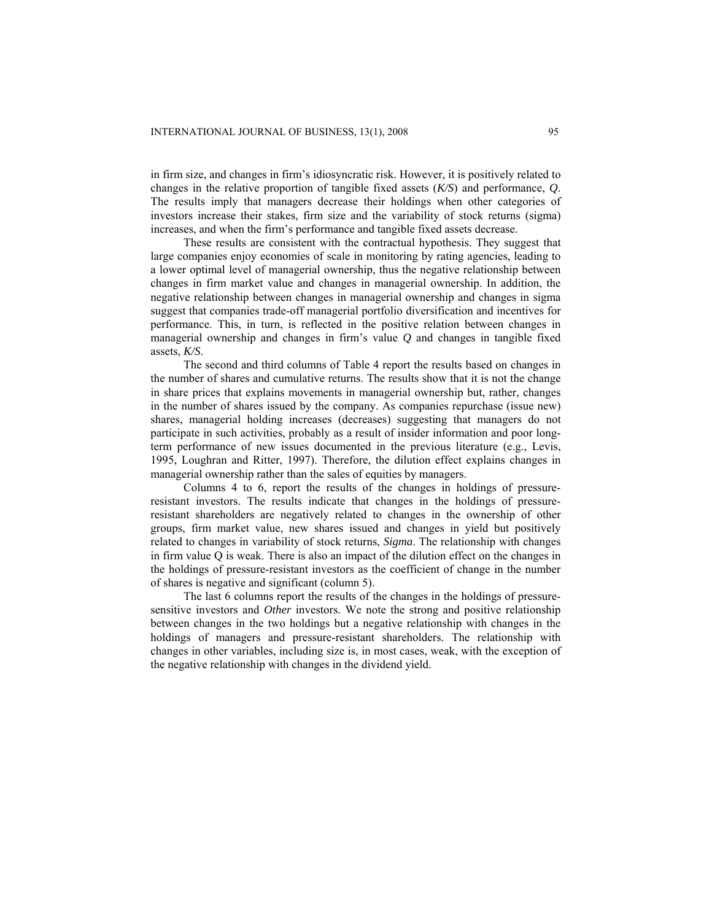in firm size, and changes in firm's idiosyncratic risk. However, it is positively related to changes in the relative proportion of tangible fixed assets (*K/S*) and performance, *Q*. The results imply that managers decrease their holdings when other categories of investors increase their stakes, firm size and the variability of stock returns (sigma) increases, and when the firm's performance and tangible fixed assets decrease.

These results are consistent with the contractual hypothesis. They suggest that large companies enjoy economies of scale in monitoring by rating agencies, leading to a lower optimal level of managerial ownership, thus the negative relationship between changes in firm market value and changes in managerial ownership. In addition, the negative relationship between changes in managerial ownership and changes in sigma suggest that companies trade-off managerial portfolio diversification and incentives for performance. This, in turn, is reflected in the positive relation between changes in managerial ownership and changes in firm's value *Q* and changes in tangible fixed assets, *K/S*.

The second and third columns of Table 4 report the results based on changes in the number of shares and cumulative returns. The results show that it is not the change in share prices that explains movements in managerial ownership but, rather, changes in the number of shares issued by the company. As companies repurchase (issue new) shares, managerial holding increases (decreases) suggesting that managers do not participate in such activities, probably as a result of insider information and poor longterm performance of new issues documented in the previous literature (e.g., Levis, 1995, Loughran and Ritter, 1997). Therefore, the dilution effect explains changes in managerial ownership rather than the sales of equities by managers.

Columns 4 to 6, report the results of the changes in holdings of pressureresistant investors. The results indicate that changes in the holdings of pressureresistant shareholders are negatively related to changes in the ownership of other groups, firm market value, new shares issued and changes in yield but positively related to changes in variability of stock returns, *Sigma*. The relationship with changes in firm value Q is weak. There is also an impact of the dilution effect on the changes in the holdings of pressure-resistant investors as the coefficient of change in the number of shares is negative and significant (column 5).

The last 6 columns report the results of the changes in the holdings of pressuresensitive investors and *Other* investors. We note the strong and positive relationship between changes in the two holdings but a negative relationship with changes in the holdings of managers and pressure-resistant shareholders. The relationship with changes in other variables, including size is, in most cases, weak, with the exception of the negative relationship with changes in the dividend yield.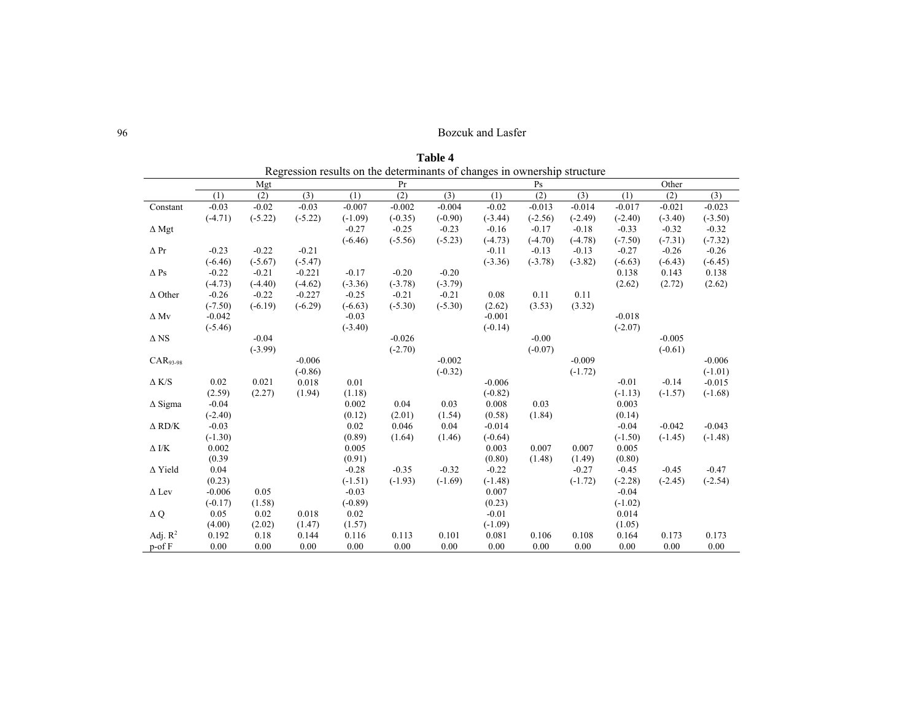|                |           |           |           |           | Regression results on the determinants of changes in ownership structure |           |           |           |           |           |           |           |
|----------------|-----------|-----------|-----------|-----------|--------------------------------------------------------------------------|-----------|-----------|-----------|-----------|-----------|-----------|-----------|
|                |           | Mgt       |           |           | Pr                                                                       |           |           | Ps        |           |           | Other     |           |
|                | (1)       | (2)       | (3)       | (1)       | (2)                                                                      | (3)       | (1)       | (2)       | (3)       | (1)       | (2)       | (3)       |
| Constant       | $-0.03$   | $-0.02$   | $-0.03$   | $-0.007$  | $-0.002$                                                                 | $-0.004$  | $-0.02$   | $-0.013$  | $-0.014$  | $-0.017$  | $-0.021$  | $-0.023$  |
|                | $(-4.71)$ | $(-5.22)$ | $(-5.22)$ | $(-1.09)$ | $(-0.35)$                                                                | $(-0.90)$ | $(-3.44)$ | $(-2.56)$ | $(-2.49)$ | $(-2.40)$ | $(-3.40)$ | $(-3.50)$ |
| $\Delta$ Mgt   |           |           |           | $-0.27$   | $-0.25$                                                                  | $-0.23$   | $-0.16$   | $-0.17$   | $-0.18$   | $-0.33$   | $-0.32$   | $-0.32$   |
|                |           |           |           | $(-6.46)$ | $(-5.56)$                                                                | $(-5.23)$ | $(-4.73)$ | $(-4.70)$ | $(-4.78)$ | $(-7.50)$ | $(-7.31)$ | $(-7.32)$ |
| $\Delta$ Pr    | $-0.23$   | $-0.22$   | $-0.21$   |           |                                                                          |           | $-0.11$   | $-0.13$   | $-0.13$   | $-0.27$   | $-0.26$   | $-0.26$   |
|                | $(-6.46)$ | $(-5.67)$ | $(-5.47)$ |           |                                                                          |           | $(-3.36)$ | $(-3.78)$ | $(-3.82)$ | $(-6.63)$ | $(-6.43)$ | $(-6.45)$ |
| $\Delta$ Ps    | $-0.22$   | $-0.21$   | $-0.221$  | $-0.17$   | $-0.20$                                                                  | $-0.20$   |           |           |           | 0.138     | 0.143     | 0.138     |
|                | $(-4.73)$ | $(-4.40)$ | $(-4.62)$ | $(-3.36)$ | $(-3.78)$                                                                | $(-3.79)$ |           |           |           | (2.62)    | (2.72)    | (2.62)    |
| $\Delta$ Other | $-0.26$   | $-0.22$   | $-0.227$  | $-0.25$   | $-0.21$                                                                  | $-0.21$   | 0.08      | 0.11      | 0.11      |           |           |           |
|                | $(-7.50)$ | $(-6.19)$ | $(-6.29)$ | $(-6.63)$ | $(-5.30)$                                                                | $(-5.30)$ | (2.62)    | (3.53)    | (3.32)    |           |           |           |
| $\Delta$ Mv    | $-0.042$  |           |           | $-0.03$   |                                                                          |           | $-0.001$  |           |           | $-0.018$  |           |           |
|                | $(-5.46)$ |           |           | $(-3.40)$ |                                                                          |           | $(-0.14)$ |           |           | $(-2.07)$ |           |           |
| $\Delta$ NS    |           | $-0.04$   |           |           | $-0.026$                                                                 |           |           | $-0.00$   |           |           | $-0.005$  |           |
|                |           | $(-3.99)$ |           |           | $(-2.70)$                                                                |           |           | $(-0.07)$ |           |           | $(-0.61)$ |           |
| $CAR93-98$     |           |           | $-0.006$  |           |                                                                          | $-0.002$  |           |           | $-0.009$  |           |           | $-0.006$  |
|                |           |           | $(-0.86)$ |           |                                                                          | $(-0.32)$ |           |           | $(-1.72)$ |           |           | $(-1.01)$ |
| $\Delta$ K/S   | 0.02      | 0.021     | 0.018     | 0.01      |                                                                          |           | $-0.006$  |           |           | $-0.01$   | $-0.14$   | $-0.015$  |
|                | (2.59)    | (2.27)    | (1.94)    | (1.18)    |                                                                          |           | $(-0.82)$ |           |           | $(-1.13)$ | $(-1.57)$ | $(-1.68)$ |
| $\Delta$ Sigma | $-0.04$   |           |           | 0.002     | 0.04                                                                     | 0.03      | 0.008     | 0.03      |           | 0.003     |           |           |
|                | $(-2.40)$ |           |           | (0.12)    | (2.01)                                                                   | (1.54)    | (0.58)    | (1.84)    |           | (0.14)    |           |           |
| $\Delta$ RD/K  | $-0.03$   |           |           | 0.02      | 0.046                                                                    | 0.04      | $-0.014$  |           |           | $-0.04$   | $-0.042$  | $-0.043$  |
|                | $(-1.30)$ |           |           | (0.89)    | (1.64)                                                                   | (1.46)    | $(-0.64)$ |           |           | $(-1.50)$ | $(-1.45)$ | $(-1.48)$ |
| $\Delta$ I/K   | 0.002     |           |           | 0.005     |                                                                          |           | 0.003     | 0.007     | 0.007     | 0.005     |           |           |
|                | (0.39)    |           |           | (0.91)    |                                                                          |           | (0.80)    | (1.48)    | (1.49)    | (0.80)    |           |           |
| $\Delta$ Yield | 0.04      |           |           | $-0.28$   | $-0.35$                                                                  | $-0.32$   | $-0.22$   |           | $-0.27$   | $-0.45$   | $-0.45$   | $-0.47$   |
|                | (0.23)    |           |           | $(-1.51)$ | $(-1.93)$                                                                | $(-1.69)$ | $(-1.48)$ |           | $(-1.72)$ | $(-2.28)$ | $(-2.45)$ | $(-2.54)$ |
| $\Delta$ Lev   | $-0.006$  | 0.05      |           | $-0.03$   |                                                                          |           | 0.007     |           |           | $-0.04$   |           |           |
|                | $(-0.17)$ | (1.58)    |           | $(-0.89)$ |                                                                          |           | (0.23)    |           |           | $(-1.02)$ |           |           |
| $\Delta Q$     | 0.05      | 0.02      | 0.018     | 0.02      |                                                                          |           | $-0.01$   |           |           | 0.014     |           |           |
|                | (4.00)    | (2.02)    | (1.47)    | (1.57)    |                                                                          |           | $(-1.09)$ |           |           | (1.05)    |           |           |
| Adj. $R^2$     | 0.192     | 0.18      | 0.144     | 0.116     | 0.113                                                                    | 0.101     | 0.081     | 0.106     | 0.108     | 0.164     | 0.173     | 0.173     |
| $p$ -of $F$    | 0.00      | 0.00      | 0.00      | 0.00      | 0.00                                                                     | 0.00      | 0.00      | 0.00      | 0.00      | 0.00      | 0.00      | 0.00      |

**Table 4**<br>Regression results on the determinants of changes in ownership structure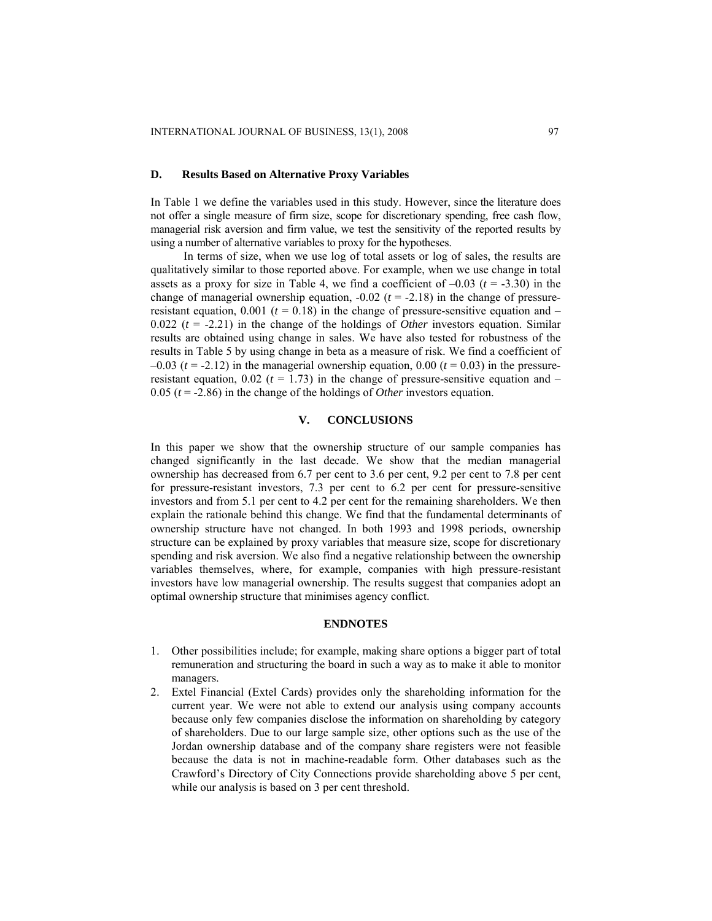### **D. Results Based on Alternative Proxy Variables**

In Table 1 we define the variables used in this study. However, since the literature does not offer a single measure of firm size, scope for discretionary spending, free cash flow, managerial risk aversion and firm value, we test the sensitivity of the reported results by using a number of alternative variables to proxy for the hypotheses.

In terms of size, when we use log of total assets or log of sales, the results are qualitatively similar to those reported above. For example, when we use change in total assets as a proxy for size in Table 4, we find a coefficient of  $-0.03$  ( $t = -3.30$ ) in the change of managerial ownership equation,  $-0.02$  ( $t = -2.18$ ) in the change of pressureresistant equation,  $0.001$  ( $t = 0.18$ ) in the change of pressure-sensitive equation and – 0.022  $(t = -2.21)$  in the change of the holdings of *Other* investors equation. Similar results are obtained using change in sales. We have also tested for robustness of the results in Table 5 by using change in beta as a measure of risk. We find a coefficient of  $-0.03$  ( $t = -2.12$ ) in the managerial ownership equation, 0.00 ( $t = 0.03$ ) in the pressureresistant equation,  $0.02$  ( $t = 1.73$ ) in the change of pressure-sensitive equation and – 0.05 ( $t = -2.86$ ) in the change of the holdings of *Other* investors equation.

### **V. CONCLUSIONS**

In this paper we show that the ownership structure of our sample companies has changed significantly in the last decade. We show that the median managerial ownership has decreased from 6.7 per cent to 3.6 per cent, 9.2 per cent to 7.8 per cent for pressure-resistant investors, 7.3 per cent to 6.2 per cent for pressure-sensitive investors and from 5.1 per cent to 4.2 per cent for the remaining shareholders. We then explain the rationale behind this change. We find that the fundamental determinants of ownership structure have not changed. In both 1993 and 1998 periods, ownership structure can be explained by proxy variables that measure size, scope for discretionary spending and risk aversion. We also find a negative relationship between the ownership variables themselves, where, for example, companies with high pressure-resistant investors have low managerial ownership. The results suggest that companies adopt an optimal ownership structure that minimises agency conflict.

### **ENDNOTES**

- 1. Other possibilities include; for example, making share options a bigger part of total remuneration and structuring the board in such a way as to make it able to monitor managers.
- 2. Extel Financial (Extel Cards) provides only the shareholding information for the current year. We were not able to extend our analysis using company accounts because only few companies disclose the information on shareholding by category of shareholders. Due to our large sample size, other options such as the use of the Jordan ownership database and of the company share registers were not feasible because the data is not in machine-readable form. Other databases such as the Crawford's Directory of City Connections provide shareholding above 5 per cent, while our analysis is based on 3 per cent threshold.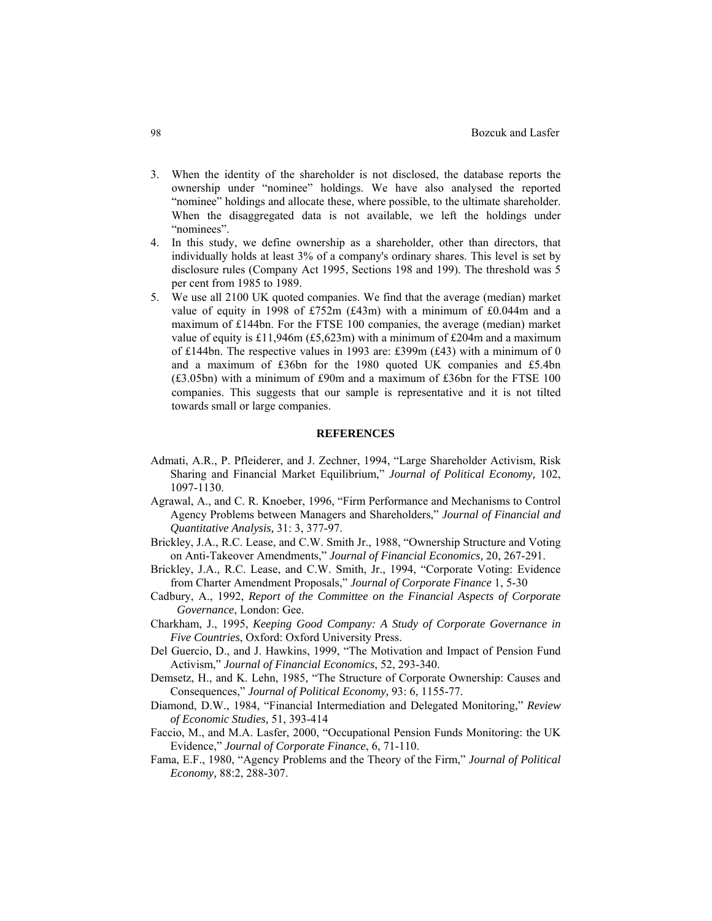- 3. When the identity of the shareholder is not disclosed, the database reports the ownership under "nominee" holdings. We have also analysed the reported "nominee" holdings and allocate these, where possible, to the ultimate shareholder. When the disaggregated data is not available, we left the holdings under "nominees".
- 4. In this study, we define ownership as a shareholder, other than directors, that individually holds at least 3% of a company's ordinary shares. This level is set by disclosure rules (Company Act 1995, Sections 198 and 199). The threshold was 5 per cent from 1985 to 1989.
- 5. We use all 2100 UK quoted companies. We find that the average (median) market value of equity in 1998 of £752m ( $£43m$ ) with a minimum of  $£0.044m$  and a maximum of £144bn. For the FTSE 100 companies, the average (median) market value of equity is £11,946m (£5,623m) with a minimum of £204m and a maximum of £144bn. The respective values in 1993 are: £399m (£43) with a minimum of 0 and a maximum of £36bn for the 1980 quoted UK companies and £5.4bn (£3.05bn) with a minimum of £90m and a maximum of £36bn for the FTSE 100 companies. This suggests that our sample is representative and it is not tilted towards small or large companies.

### **REFERENCES**

- Admati, A.R., P. Pfleiderer, and J. Zechner, 1994, "Large Shareholder Activism, Risk Sharing and Financial Market Equilibrium," *Journal of Political Economy,* 102, 1097-1130.
- Agrawal, A., and C. R. Knoeber, 1996, "Firm Performance and Mechanisms to Control Agency Problems between Managers and Shareholders," *Journal of Financial and Quantitative Analysis,* 31: 3, 377-97.
- Brickley, J.A., R.C. Lease, and C.W. Smith Jr., 1988, "Ownership Structure and Voting on Anti-Takeover Amendments," *Journal of Financial Economics,* 20, 267-291.
- Brickley, J.A., R.C. Lease, and C.W. Smith, Jr., 1994, "Corporate Voting: Evidence from Charter Amendment Proposals," *Journal of Corporate Finance* 1, 5-30
- Cadbury, A., 1992, *Report of the Committee on the Financial Aspects of Corporate Governance*, London: Gee.
- Charkham, J., 1995, *Keeping Good Company: A Study of Corporate Governance in Five Countries*, Oxford: Oxford University Press.
- Del Guercio, D., and J. Hawkins, 1999, "The Motivation and Impact of Pension Fund Activism," *Journal of Financial Economics*, 52, 293-340.
- Demsetz, H., and K. Lehn, 1985, "The Structure of Corporate Ownership: Causes and Consequences," *Journal of Political Economy,* 93: 6, 1155-77.
- Diamond, D.W., 1984, "Financial Intermediation and Delegated Monitoring," *Review of Economic Studies,* 51, 393-414
- Faccio, M., and M.A. Lasfer, 2000, "Occupational Pension Funds Monitoring: the UK Evidence," *Journal of Corporate Finance*, 6, 71-110.
- Fama, E.F., 1980, "Agency Problems and the Theory of the Firm," *Journal of Political Economy,* 88:2, 288-307.